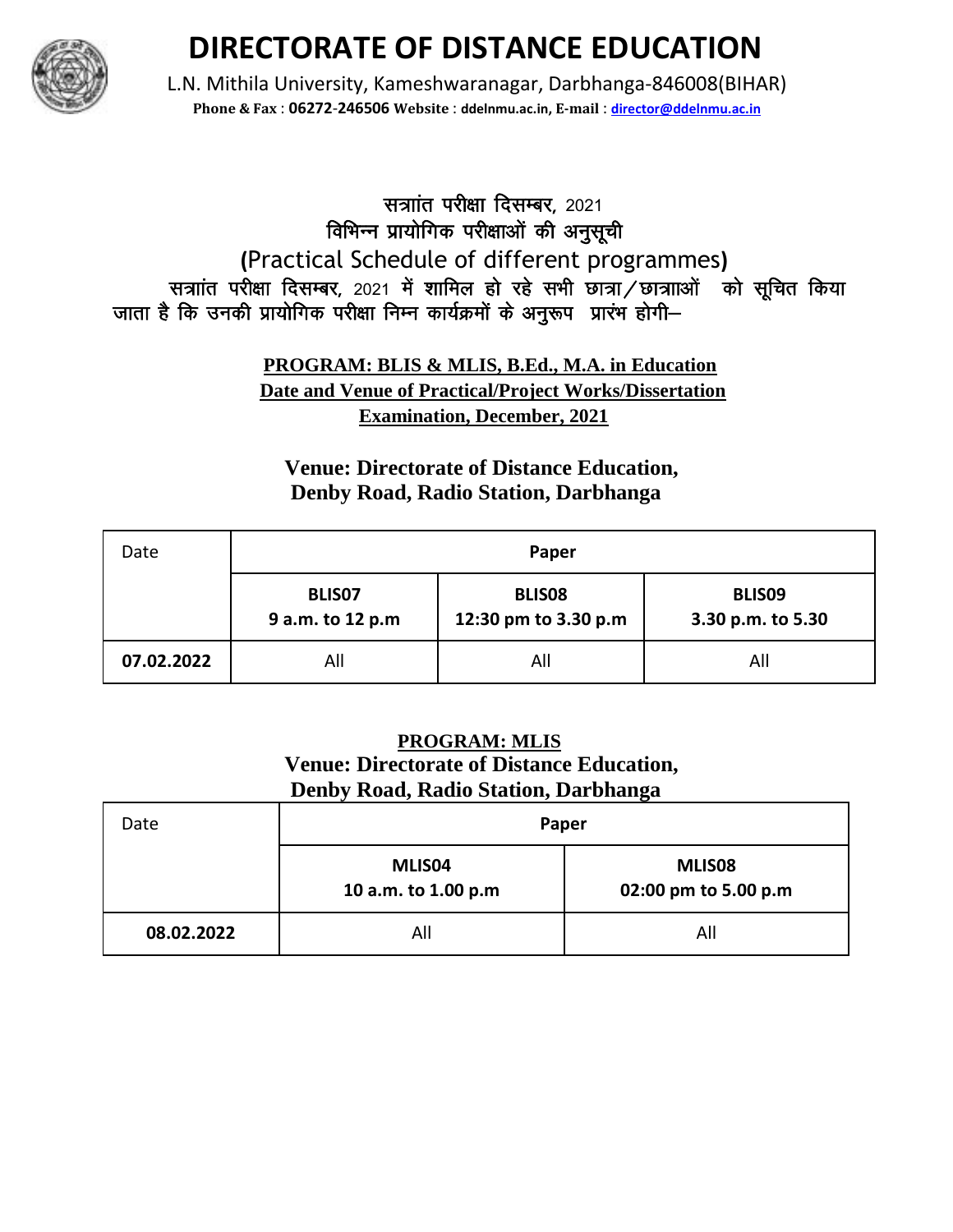

# **DIRECTORATE OF DISTANCE EDUCATION**

L.N. Mithila University, Kameshwaranagar, Darbhanga-846008(BIHAR) **Phone & Fax** : **06272**-**246506 Website** : **ddelnmu.ac.in, E-mail** : **director@ddelnmu.ac.in**

## सत्राांत परीक्षा दिसम्बर, 2021 विभिन्न प्रायोगिक परीक्षाओं की अनुसूची **(**Practical Schedule of different programmes**)**  सत्राांत परीक्षा दिसम्बर, 2021 में शामिल हो रहे सभी छात्रा / छात्राओं को सुचित किया जाता है कि उनकी प्रायोगिक परीक्षा निम्न कार्यक्रमों के अनुरूप प्रारंभ होगी-

#### **PROGRAM: BLIS & MLIS, B.Ed., M.A. in Education Date and Venue of Practical/Project Works/Dissertation Examination, December, 2021**

### **Venue: Directorate of Distance Education, Denby Road, Radio Station, Darbhanga**

| Date       | Paper                      |                                       |                                    |
|------------|----------------------------|---------------------------------------|------------------------------------|
|            | BLIS07<br>9 a.m. to 12 p.m | <b>BLISO8</b><br>12:30 pm to 3.30 p.m | <b>BLISO9</b><br>3.30 p.m. to 5.30 |
| 07.02.2022 | All                        | All                                   | All                                |

#### **PROGRAM: MLIS Venue: Directorate of Distance Education, Denby Road, Radio Station, Darbhanga**

| Date       | Paper                         |                                |
|------------|-------------------------------|--------------------------------|
|            | MLIS04<br>10 a.m. to 1.00 p.m | MLIS08<br>02:00 pm to 5.00 p.m |
| 08.02.2022 | All                           | All                            |